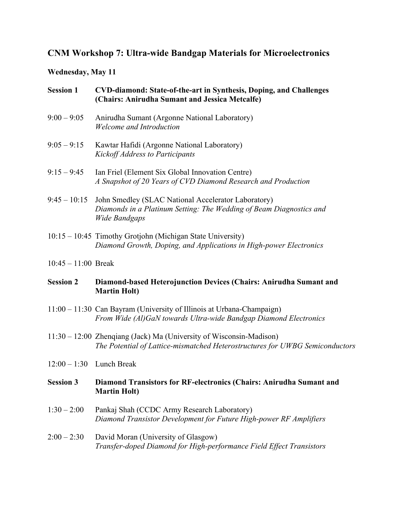## **CNM Workshop 7: Ultra-wide Bandgap Materials for Microelectronics**

## **Wednesday, May 11**

| <b>Session 1</b>           | <b>CVD-diamond: State-of-the-art in Synthesis, Doping, and Challenges</b><br>(Chairs: Anirudha Sumant and Jessica Metcalfe)                         |
|----------------------------|-----------------------------------------------------------------------------------------------------------------------------------------------------|
| $9:00 - 9:05$              | Anirudha Sumant (Argonne National Laboratory)<br>Welcome and Introduction                                                                           |
| $9:05 - 9:15$              | Kawtar Hafidi (Argonne National Laboratory)<br><b>Kickoff Address to Participants</b>                                                               |
| $9:15 - 9:45$              | Ian Friel (Element Six Global Innovation Centre)<br>A Snapshot of 20 Years of CVD Diamond Research and Production                                   |
| $9:45 - 10:15$             | John Smedley (SLAC National Accelerator Laboratory)<br>Diamonds in a Platinum Setting: The Wedding of Beam Diagnostics and<br><b>Wide Bandgaps</b>  |
|                            | 10:15 – 10:45 Timothy Grotjohn (Michigan State University)<br>Diamond Growth, Doping, and Applications in High-power Electronics                    |
| $10:45 - 11:00$ Break      |                                                                                                                                                     |
| <b>Session 2</b>           | Diamond-based Heterojunction Devices (Chairs: Anirudha Sumant and<br><b>Martin Holt)</b>                                                            |
|                            | 11:00 - 11:30 Can Bayram (University of Illinois at Urbana-Champaign)<br>From Wide (Al)GaN towards Ultra-wide Bandgap Diamond Electronics           |
|                            | 11:30 – 12:00 Zhenqiang (Jack) Ma (University of Wisconsin-Madison)<br>The Potential of Lattice-mismatched Heterostructures for UWBG Semiconductors |
| $12:00 - 1:30$ Lunch Break |                                                                                                                                                     |
| <b>Session 3</b>           | Diamond Transistors for RF-electronics (Chairs: Anirudha Sumant and<br><b>Martin Holt)</b>                                                          |
| $1:30 - 2:00$              | Pankaj Shah (CCDC Army Research Laboratory)<br>Diamond Transistor Development for Future High-power RF Amplifiers                                   |
| $2:00 - 2:30$              | David Moran (University of Glasgow)<br>Transfer-doped Diamond for High-performance Field Effect Transistors                                         |
|                            |                                                                                                                                                     |